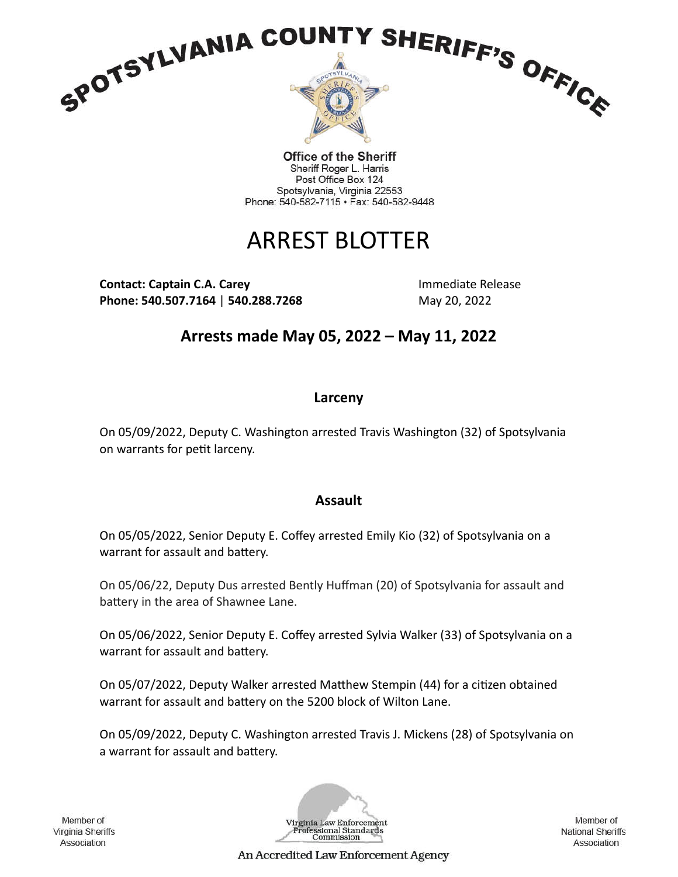

**Office of the Sheriff** Sheriff Roger L. Harris Post Office Box 124 Spotsylvania, Virginia 22553 Phone: 540-582-7115 · Fax: 540-582-9448

# ARREST BLOTTER

**Contact: Captain C.A. Carey and Contact: Captain C.A. Carey Activities Activities Activities Activities Activities Phone: 540.507.7164 | 540.288.7268** May 20, 2022

**Arrests made May 05, 2022 – May 11, 2022**

## **Larceny**

On 05/09/2022, Deputy C. Washington arrested Travis Washington (32) of Spotsylvania on warrants for petit larceny.

## **Assault**

On 05/05/2022, Senior Deputy E. Coffey arrested Emily Kio (32) of Spotsylvania on a warrant for assault and battery.

On 05/06/22, Deputy Dus arrested Bently Huffman (20) of Spotsylvania for assault and battery in the area of Shawnee Lane.

On 05/06/2022, Senior Deputy E. Coffey arrested Sylvia Walker (33) of Spotsylvania on a warrant for assault and battery.

On 05/07/2022, Deputy Walker arrested Matthew Stempin (44) for a citizen obtained warrant for assault and battery on the 5200 block of Wilton Lane.

On 05/09/2022, Deputy C. Washington arrested Travis J. Mickens (28) of Spotsylvania on a warrant for assault and battery.

Member of Virginia Sheriffs Association



Member of **National Sheriffs** Association

An Accredited Law Enforcement Agency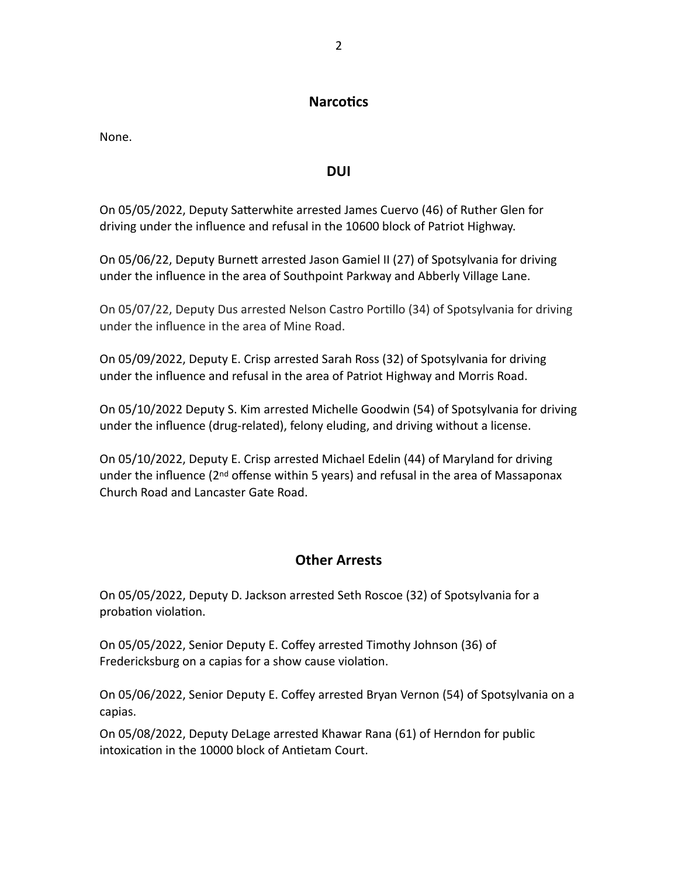### **Narcotics**

None.

#### **DUI**

On 05/05/2022, Deputy Satterwhite arrested James Cuervo (46) of Ruther Glen for driving under the influence and refusal in the 10600 block of Patriot Highway.

On 05/06/22, Deputy Burnett arrested Jason Gamiel II (27) of Spotsylvania for driving under the influence in the area of Southpoint Parkway and Abberly Village Lane.

On 05/07/22, Deputy Dus arrested Nelson Castro Portillo (34) of Spotsylvania for driving under the influence in the area of Mine Road.

On 05/09/2022, Deputy E. Crisp arrested Sarah Ross (32) of Spotsylvania for driving under the influence and refusal in the area of Patriot Highway and Morris Road.

On 05/10/2022 Deputy S. Kim arrested Michelle Goodwin (54) of Spotsylvania for driving under the influence (drug-related), felony eluding, and driving without a license.

On 05/10/2022, Deputy E. Crisp arrested Michael Edelin (44) of Maryland for driving under the influence ( $2<sup>nd</sup>$  offense within 5 years) and refusal in the area of Massaponax Church Road and Lancaster Gate Road.

## **Other Arrests**

On 05/05/2022, Deputy D. Jackson arrested Seth Roscoe (32) of Spotsylvania for a probation violation.

On 05/05/2022, Senior Deputy E. Coffey arrested Timothy Johnson (36) of Fredericksburg on a capias for a show cause violation.

On 05/06/2022, Senior Deputy E. Coffey arrested Bryan Vernon (54) of Spotsylvania on a capias.

On 05/08/2022, Deputy DeLage arrested Khawar Rana (61) of Herndon for public intoxication in the 10000 block of Antietam Court.